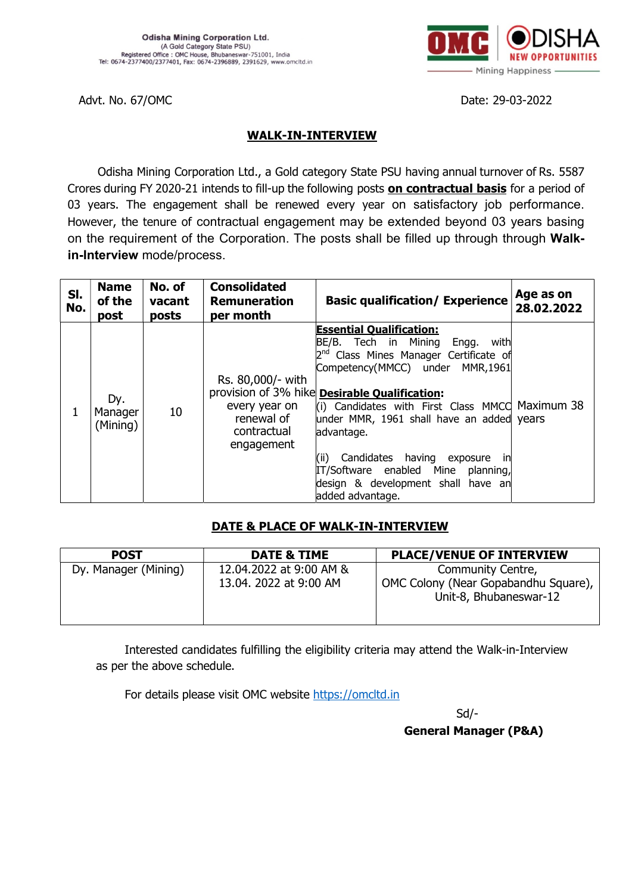

Advt. No. 67/OMC Date: 29-03-2022

#### WALK-IN-INTERVIEW

Odisha Mining Corporation Ltd., a Gold category State PSU having annual turnover of Rs. 5587 Crores during FY 2020-21 intends to fill-up the following posts on contractual basis for a period of 03 years. The engagement shall be renewed every year on satisfactory job performance. However, the tenure of contractual engagement may be extended beyond 03 years basing on the requirement of the Corporation. The posts shall be filled up through through Walkin-Interview mode/process.

| SI.<br>No. | <b>Name</b><br>of the<br>post | No. of<br>vacant<br>posts | <b>Consolidated</b><br><b>Remuneration</b><br>per month                       | <b>Basic qualification/ Experience</b>                                                                                                                                                                                                                                                                                                                                                                                                                                  | Age as on<br>28.02.2022 |
|------------|-------------------------------|---------------------------|-------------------------------------------------------------------------------|-------------------------------------------------------------------------------------------------------------------------------------------------------------------------------------------------------------------------------------------------------------------------------------------------------------------------------------------------------------------------------------------------------------------------------------------------------------------------|-------------------------|
| 1          | Dy.<br>Manager<br>(Mining)    | 10                        | Rs. 80,000/- with<br>every year on<br>renewal of<br>contractual<br>engagement | <b>Essential Qualification:</b><br>BE/B. Tech in Mining Engg. with<br>2 <sup>nd</sup> Class Mines Manager Certificate of<br>Competency(MMCC) under MMR,1961<br>provision of 3% hike Desirable Qualification:<br>(i) Candidates with First Class MMCC Maximum 38<br>under MMR, 1961 shall have an added years<br>advantage.<br>Candidates having exposure<br>(ii)<br>inl<br>IT/Software enabled Mine planning,<br>design & development shall have an<br>added advantage. |                         |

#### DATE & PLACE OF WALK-IN-INTERVIEW

| <b>POST</b>          | DATE & TIME             | <b>PLACE/VENUE OF INTERVIEW</b>                                |
|----------------------|-------------------------|----------------------------------------------------------------|
| Dy. Manager (Mining) | 12.04.2022 at 9:00 AM & | Community Centre,                                              |
|                      | 13.04. 2022 at 9:00 AM  | OMC Colony (Near Gopabandhu Square),<br>Unit-8, Bhubaneswar-12 |

Interested candidates fulfilling the eligibility criteria may attend the Walk-in-Interview as per the above schedule.

For details please visit OMC website https://omcltd.in

 $S$ d/-

General Manager (P&A)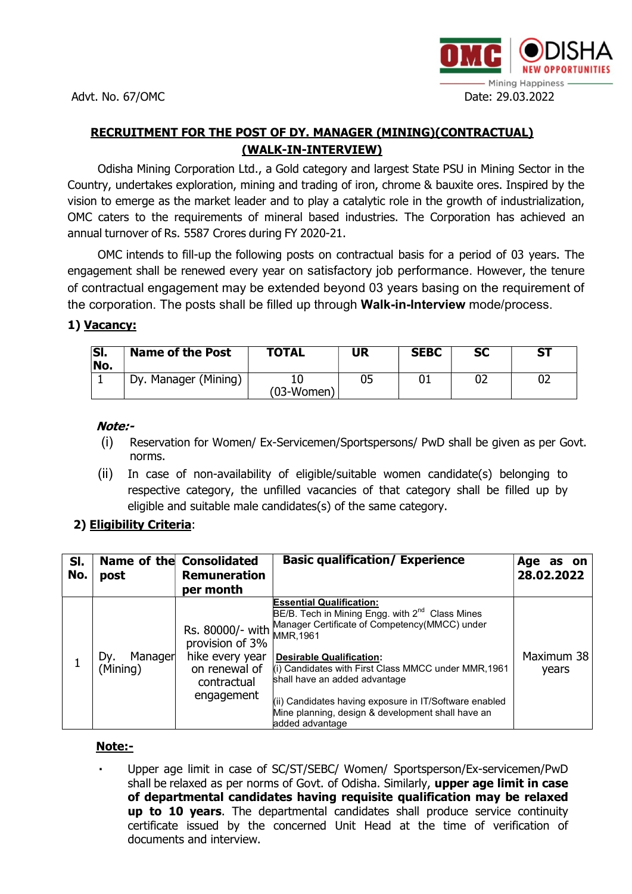

# RECRUITMENT FOR THE POST OF DY. MANAGER (MINING)(CONTRACTUAL) (WALK-IN-INTERVIEW)

Odisha Mining Corporation Ltd., a Gold category and largest State PSU in Mining Sector in the Country, undertakes exploration, mining and trading of iron, chrome & bauxite ores. Inspired by the vision to emerge as the market leader and to play a catalytic role in the growth of industrialization, OMC caters to the requirements of mineral based industries. The Corporation has achieved an annual turnover of Rs. 5587 Crores during FY 2020-21.

OMC intends to fill-up the following posts on contractual basis for a period of 03 years. The engagement shall be renewed every year on satisfactory job performance. However, the tenure of contractual engagement may be extended beyond 03 years basing on the requirement of the corporation. The posts shall be filled up through Walk-in-Interview mode/process.

## 1) Vacancy:

| SI.<br>No. | <b>Name of the Post</b> | <b>TOTAL</b> | UR | <b>SEBC</b> | <b>SC</b> | <b>ST</b> |
|------------|-------------------------|--------------|----|-------------|-----------|-----------|
|            | Dy. Manager (Mining)    | $(03-Women)$ |    |             |           | UZ        |

#### Note:-

- (i) Reservation for Women/ Ex-Servicemen/Sportspersons/ PwD shall be given as per Govt. norms.
- (ii) In case of non-availability of eligible/suitable women candidate(s) belonging to respective category, the unfilled vacancies of that category shall be filled up by eligible and suitable male candidates(s) of the same category.

## 2) Eligibility Criteria:

| SI.<br>No. | post                       | Name of the Consolidated<br><b>Remuneration</b><br>per month                     | <b>Basic qualification/ Experience</b>                                                                                                                                                                                                                                                                                                                                                                                         | Age<br>as on<br>28.02.2022 |
|------------|----------------------------|----------------------------------------------------------------------------------|--------------------------------------------------------------------------------------------------------------------------------------------------------------------------------------------------------------------------------------------------------------------------------------------------------------------------------------------------------------------------------------------------------------------------------|----------------------------|
|            | Manager<br>Dv.<br>(Mining) | provision of 3%<br>hike every year<br>on renewal of<br>contractual<br>engagement | <b>Essential Qualification:</b><br>BE/B. Tech in Mining Engg. with 2 <sup>nd</sup> Class Mines<br>Rs. 80000/- with Manager Certificate of Competency(MMCC) under<br><b>Desirable Qualification:</b><br>(i) Candidates with First Class MMCC under MMR, 1961<br>shall have an added advantage<br>(ii) Candidates having exposure in IT/Software enabled<br>Mine planning, design & development shall have an<br>added advantage | Maximum 38<br>years        |

### Note:-

 Upper age limit in case of SC/ST/SEBC/ Women/ Sportsperson/Ex-servicemen/PwD shall be relaxed as per norms of Govt. of Odisha. Similarly, upper age limit in case of departmental candidates having requisite qualification may be relaxed up to 10 years. The departmental candidates shall produce service continuity certificate issued by the concerned Unit Head at the time of verification of documents and interview.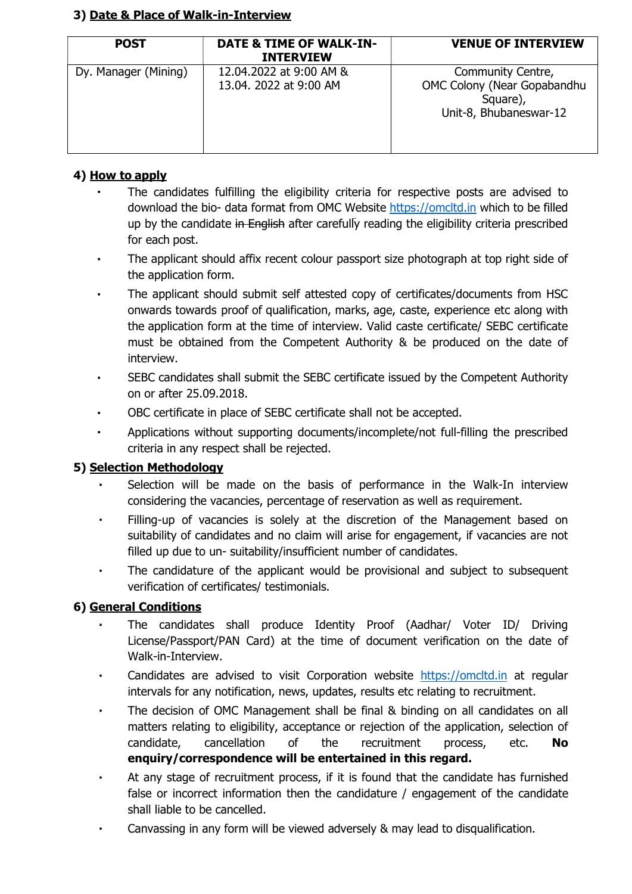### 3) Date & Place of Walk-in-Interview

| <b>POST</b>          | <b>DATE &amp; TIME OF WALK-IN-</b><br><b>INTERVIEW</b> | <b>VENUE OF INTERVIEW</b>                                                              |
|----------------------|--------------------------------------------------------|----------------------------------------------------------------------------------------|
| Dy. Manager (Mining) | 12.04.2022 at 9:00 AM &<br>13.04, 2022 at 9:00 AM      | Community Centre,<br>OMC Colony (Near Gopabandhu<br>Square),<br>Unit-8, Bhubaneswar-12 |

### 4) How to apply

- The candidates fulfilling the eligibility criteria for respective posts are advised to download the bio- data format from OMC Website https://omcltd.in which to be filled up by the candidate in English after carefully reading the eligibility criteria prescribed for each post.
- The applicant should affix recent colour passport size photograph at top right side of the application form.
- The applicant should submit self attested copy of certificates/documents from HSC onwards towards proof of qualification, marks, age, caste, experience etc along with the application form at the time of interview. Valid caste certificate/ SEBC certificate must be obtained from the Competent Authority & be produced on the date of interview.
- SEBC candidates shall submit the SEBC certificate issued by the Competent Authority on or after 25.09.2018.
- OBC certificate in place of SEBC certificate shall not be accepted.
- Applications without supporting documents/incomplete/not full-filling the prescribed criteria in any respect shall be rejected.

## 5) Selection Methodology

- Selection will be made on the basis of performance in the Walk-In interview considering the vacancies, percentage of reservation as well as requirement.
- Filling-up of vacancies is solely at the discretion of the Management based on suitability of candidates and no claim will arise for engagement, if vacancies are not filled up due to un- suitability/insufficient number of candidates.
- The candidature of the applicant would be provisional and subject to subsequent verification of certificates/ testimonials.

## 6) General Conditions

- The candidates shall produce Identity Proof (Aadhar/ Voter ID/ Driving License/Passport/PAN Card) at the time of document verification on the date of Walk-in-Interview.
- Candidates are advised to visit Corporation website https://omcltd.in at regular intervals for any notification, news, updates, results etc relating to recruitment.
- The decision of OMC Management shall be final & binding on all candidates on all matters relating to eligibility, acceptance or rejection of the application, selection of candidate, cancellation of the recruitment process, etc. No enquiry/correspondence will be entertained in this regard.
- At any stage of recruitment process, if it is found that the candidate has furnished false or incorrect information then the candidature / engagement of the candidate shall liable to be cancelled.
- Canvassing in any form will be viewed adversely & may lead to disqualification.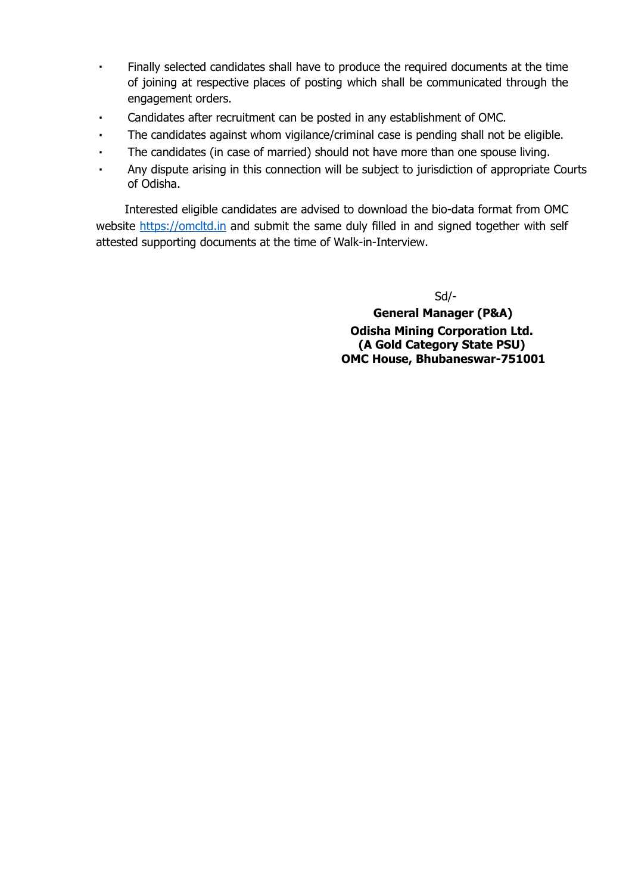- Finally selected candidates shall have to produce the required documents at the time of joining at respective places of posting which shall be communicated through the engagement orders.
- Candidates after recruitment can be posted in any establishment of OMC.
- The candidates against whom vigilance/criminal case is pending shall not be eligible.
- The candidates (in case of married) should not have more than one spouse living.
- Any dispute arising in this connection will be subject to jurisdiction of appropriate Courts of Odisha.

Interested eligible candidates are advised to download the bio-data format from OMC website https://omcltd.in and submit the same duly filled in and signed together with self attested supporting documents at the time of Walk-in-Interview.

Sd/-

 General Manager (P&A) Odisha Mining Corporation Ltd. (A Gold Category State PSU) OMC House, Bhubaneswar-751001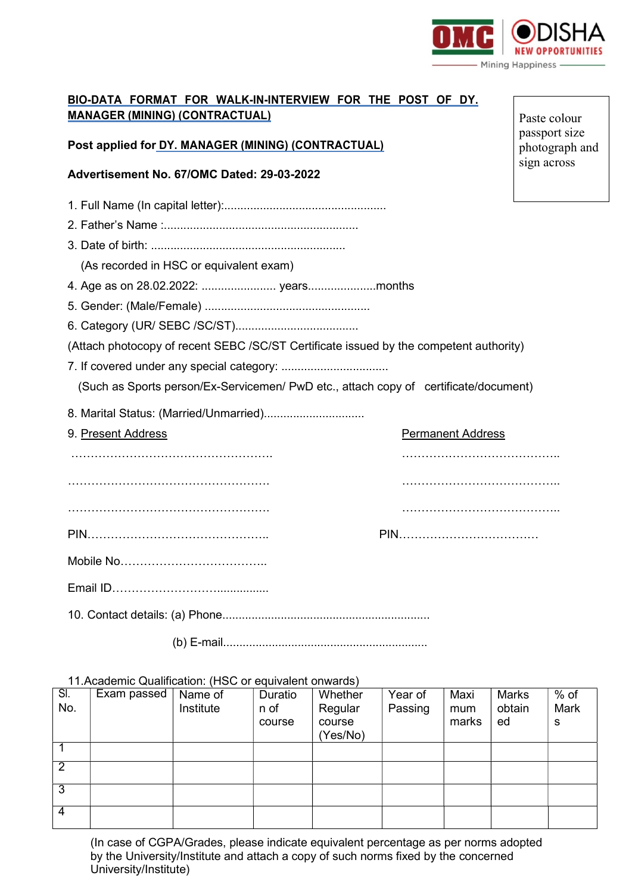

### BIO-DATA FORMAT FOR WALK-IN-INTERVIEW FOR THE POST OF DY. MANAGER (MINING) (CONTRACTUAL)

Post applied for DY. MANAGER (MINING) (CONTRACTUAL)

#### Advertisement No. 67/OMC Dated: 29-03-2022

- 1. Full Name (In capital letter):..................................................
- 2. Father's Name :............................................................
- 3. Date of birth: ............................................................

(As recorded in HSC or equivalent exam)

- 4. Age as on 28.02.2022: ....................... years.....................months
- 5. Gender: (Male/Female) ...................................................
- 6. Category (UR/ SEBC /SC/ST)......................................

(Attach photocopy of recent SEBC /SC/ST Certificate issued by the competent authority)

7. If covered under any special category: .................................

(Such as Sports person/Ex-Servicemen/ PwD etc., attach copy of certificate/document)

- 8. Marital Status: (Married/Unmarried)...............................
- 

| 9. Present Address | <b>Permanent Address</b> |
|--------------------|--------------------------|
|                    |                          |
|                    |                          |
|                    |                          |
|                    |                          |
|                    |                          |
|                    |                          |
|                    |                          |

10. Contact details: (a) Phone................................................................

(b) E-mail...............................................................

#### 11.Academic Qualification: (HSC or equivalent onwards)

| $\overline{\mathsf{SI}}$<br>No. | Exam passed | Name of<br>Institute | Duratio<br>n of<br>course | Whether<br>Regular<br>course | Year of<br>Passing | Maxi<br>mum<br>marks | <b>Marks</b><br>obtain<br>ed | $%$ of<br>Mark<br>s |
|---------------------------------|-------------|----------------------|---------------------------|------------------------------|--------------------|----------------------|------------------------------|---------------------|
|                                 |             |                      |                           | Yes/No)                      |                    |                      |                              |                     |
|                                 |             |                      |                           |                              |                    |                      |                              |                     |
| $\overline{2}$                  |             |                      |                           |                              |                    |                      |                              |                     |
| 3                               |             |                      |                           |                              |                    |                      |                              |                     |
| 4                               |             |                      |                           |                              |                    |                      |                              |                     |

(In case of CGPA/Grades, please indicate equivalent percentage as per norms adopted by the University/Institute and attach a copy of such norms fixed by the concerned University/Institute)

Paste colour passport size photograph and sign across